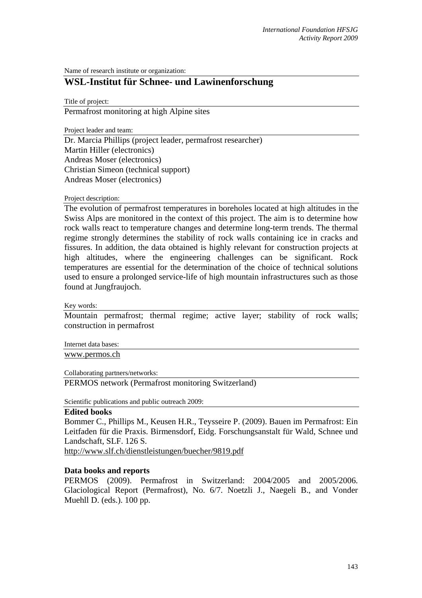Name of research institute or organization:

## **WSL-Institut für Schnee- und Lawinenforschung**

Title of project:

Permafrost monitoring at high Alpine sites

Project leader and team:

Dr. Marcia Phillips (project leader, permafrost researcher) Martin Hiller (electronics) Andreas Moser (electronics) Christian Simeon (technical support) Andreas Moser (electronics)

## Project description:

The evolution of permafrost temperatures in boreholes located at high altitudes in the Swiss Alps are monitored in the context of this project. The aim is to determine how rock walls react to temperature changes and determine long-term trends. The thermal regime strongly determines the stability of rock walls containing ice in cracks and fissures. In addition, the data obtained is highly relevant for construction projects at high altitudes, where the engineering challenges can be significant. Rock temperatures are essential for the determination of the choice of technical solutions used to ensure a prolonged service-life of high mountain infrastructures such as those found at Jungfraujoch.

Key words:

Mountain permafrost; thermal regime; active layer; stability of rock walls; construction in permafrost

Internet data bases:

www.permos.ch

Collaborating partners/networks:

PERMOS network (Permafrost monitoring Switzerland)

Scientific publications and public outreach 2009:

## **Edited books**

Bommer C., Phillips M., Keusen H.R., Teysseire P. (2009). Bauen im Permafrost: Ein Leitfaden für die Praxis. Birmensdorf, Eidg. Forschungsanstalt für Wald, Schnee und Landschaft, SLF. 126 S.

http://www.slf.ch/dienstleistungen/buecher/9819.pdf

## **Data books and reports**

PERMOS (2009). Permafrost in Switzerland: 2004/2005 and 2005/2006. Glaciological Report (Permafrost), No. 6/7. Noetzli J., Naegeli B., and Vonder Muehll D. (eds.). 100 pp.